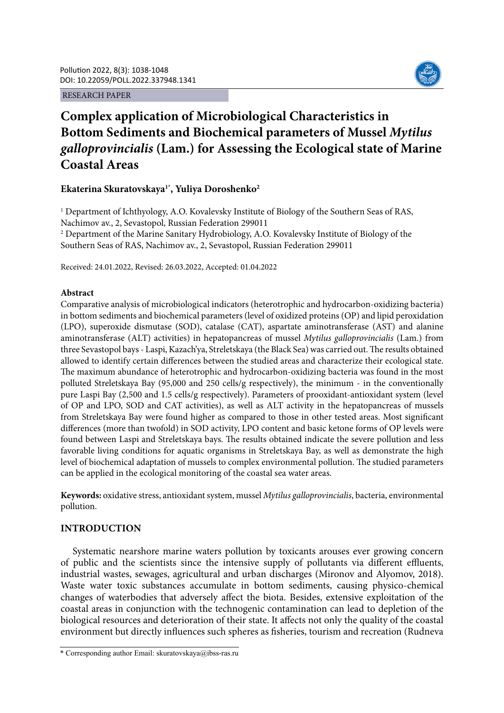RESEARCH PAPER



# **Complex application of Microbiological Characteristics in Bottom Sediments and Biochemical parameters of Mussel** *Mytilus galloprovincialis* **(Lam.) for Assessing the Ecological state of Marine Coastal Areas**

# **Ekaterina Skuratovskaya1\*, Yuliya Doroshenko2**

<sup>1</sup> Department of Ichthyology, A.O. Kovalevsky Institute of Biology of the Southern Seas of RAS, Nachimov av., 2, Sevastopol, Russian Federation 299011 <sup>2</sup> Department of the Marine Sanitary Hydrobiology, A.O. Kovalevsky Institute of Biology of the Southern Seas of RAS, Nachimov av., 2, Sevastopol, Russian Federation 299011

Received: 24.01.2022, Revised: 26.03.2022, Accepted: 01.04.2022

## **Abstract**

Comparative analysis of microbiological indicators (heterotrophic and hydrocarbon-oxidizing bacteria) in bottom sediments and biochemical parameters (level of oxidized proteins (OP) and lipid peroxidation (LPO), superoxide dismutase (SOD), catalase (CAT), aspartate aminotransferase (AST) and alanine aminotransferase (ALT) activities) in hepatopancreas of mussel *Mytilus galloprovincialis* (Lam.) from three Sevastopol bays - Laspi, Kazach'ya, Streletskaya (the Black Sea) was carried out. The results obtained allowed to identify certain differences between the studied areas and characterize their ecological state. The maximum abundance of heterotrophic and hydrocarbon-oxidizing bacteria was found in the most polluted Streletskaya Bay (95,000 and 250 cells/g respectively), the minimum - in the conventionally pure Laspi Bay (2,500 and 1.5 cells/g respectively). Parameters of prooxidant-antioxidant system (level of OP and LPO, SOD and CAT activities), as well as ALT activity in the hepatopancreas of mussels from Streletskaya Bay were found higher as compared to those in other tested areas. Most significant differences (more than twofold) in SOD activity, LPO content and basic ketone forms of OP levels were found between Laspi and Streletskaya bays. The results obtained indicate the severe pollution and less favorable living conditions for aquatic organisms in Streletskaya Bay, as well as demonstrate the high level of biochemical adaptation of mussels to complex environmental pollution. The studied parameters can be applied in the ecological monitoring of the coastal sea water areas.

**Keywords:** oxidative stress, antioxidant system, mussel *Mytilus galloprovincialis*, bacteria, environmental pollution.

## **INTRODUCTION**

Systematic nearshore marine waters pollution by toxicants arouses ever growing concern of public and the scientists since the intensive supply of pollutants via different effluents, industrial wastes, sewages, agricultural and urban discharges (Mironov and Alyomov, 2018). Waste water toxic substances accumulate in bottom sediments, causing physico-chemical changes of waterbodies that adversely affect the biota. Besides, extensive exploitation of the coastal areas in conjunction with the technogenic contamination can lead to depletion of the biological resources and deterioration of their state. It affects not only the quality of the coastal environment but directly influences such spheres as fisheries, tourism and recreation (Rudneva

<sup>\*</sup> Corresponding author Email: skuratovskaya@ibss-ras.ru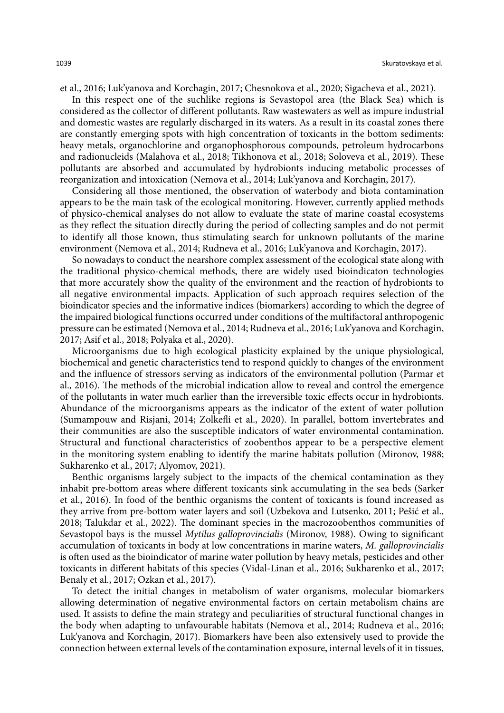et al., 2016; Luk'yanova and Korchagin, 2017; Chesnokova et al., 2020; Sigacheva et al., 2021).

In this respect one of the suchlike regions is Sevastopol area (the Black Sea) which is considered as the collector of different pollutants. Raw wastewaters as well as impure industrial and domestic wastes are regularly discharged in its waters. As a result in its coastal zones there are constantly emerging spots with high concentration of toxicants in the bottom sediments: heavy metals, organochlorine and organophosphorous compounds, petroleum hydrocarbons and radionucleids (Malahova et al., 2018; Tikhonova et al., 2018; Soloveva et al., 2019). These pollutants are absorbed and accumulated by hydrobionts inducing metabolic processes of reorganization and intoxication (Nemova et al., 2014; Luk'yanova and Korchagin, 2017).

Considering all those mentioned, the observation of waterbody and biota contamination appears to be the main task of the ecological monitoring. However, currently applied methods of physico-chemical analyses do not allow to evaluate the state of marine coastal ecosystems as they reflect the situation directly during the period of collecting samples and do not permit to identify all those known, thus stimulating search for unknown pollutants of the marine environment (Nemova et al., 2014; Rudneva et al., 2016; Luk'yanova and Korchagin, 2017).

So nowadays to conduct the nearshore complex assessment of the ecological state along with the traditional physico-chemical methods, there are widely used bioindicaton technologies that more accurately show the quality of the environment and the reaction of hydrobionts to all negative environmental impacts. Application of such approach requires selection of the bioindicator species and the informative indices (biomarkers) according to which the degree of the impaired biological functions occurred under conditions of the multifactoral anthropogenic pressure can be estimated (Nemova et al., 2014; Rudneva et al., 2016; Luk'yanova and Korchagin, 2017; Asif et al., 2018; Polyaka et al., 2020).

Microorganisms due to high ecological plasticity explained by the unique physiological, biochemical and genetic characteristics tend to respond quickly to changes of the environment and the influence of stressors serving as indicators of the environmental pollution (Parmar et al., 2016). The methods of the microbial indication allow to reveal and control the emergence of the pollutants in water much earlier than the irreversible toxic effects occur in hydrobionts. Abundance of the microorganisms appears as the indicator of the extent of water pollution (Sumampouw and Risjani, 2014; Zolkefli et al., 2020). In parallel, bottom invertebrates and their communities are also the susceptible indicators of water environmental contamination. Structural and functional characteristics of zoobenthos appear to be a perspective element in the monitoring system enabling to identify the marine habitats pollution (Mironov, 1988; Sukharenko et al., 2017; Alyomov, 2021).

Benthic organisms largely subject to the impacts of the chemical contamination as they inhabit pre-bottom areas where different toxicants sink accumulating in the sea beds (Sarker et al., 2016). In food of the benthic organisms the content of toxicants is found increased as they arrive from pre-bottom water layers and soil (Uzbekova and Lutsenko, 2011; Pešić et al., 2018; Talukdar et al., 2022). The dominant species in the macrozoobenthos communities of Sevastopol bays is the mussel *Mytilus galloprovincialis* (Mironov, 1988). Owing to significant accumulation of toxicants in body at low concentrations in marine waters, *M. galloprovincialis*  is often used as the bioindicator of marine water pollution by heavy metals, pesticides and other toxicants in different habitats of this species (Vidal-Linan et al., 2016; Sukharenko et al., 2017; Benaly et al., 2017; Ozkan et al., 2017).

To detect the initial changes in metabolism of water organisms, molecular biomarkers allowing determination of negative environmental factors on certain metabolism chains are used. It assists to define the main strategy and peculiarities of structural functional changes in the body when adapting to unfavourable habitats (Nemova et al., 2014; Rudneva et al., 2016; Luk'yanova and Korchagin, 2017). Biomarkers have been also extensively used to provide the connection between external levels of the contamination exposure, internal levels of it in tissues,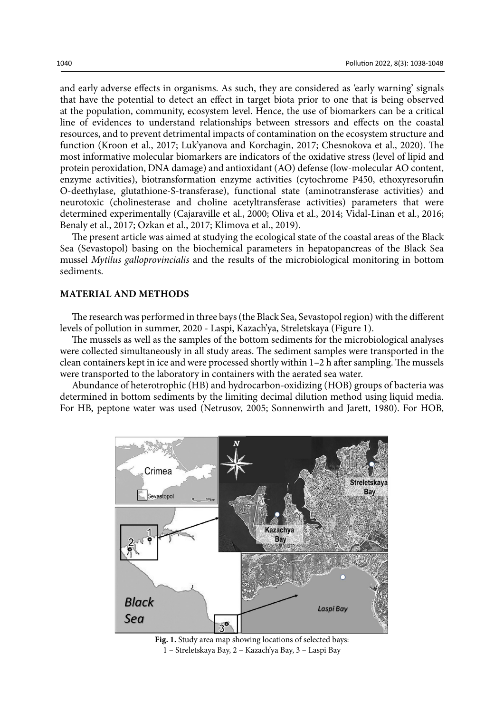and early adverse effects in organisms. As such, they are considered as 'early warning' signals that have the potential to detect an effect in target biota prior to one that is being observed at the population, community, ecosystem level. Hence, the use of biomarkers can be a critical line of evidences to understand relationships between stressors and effects on the coastal resources, and to prevent detrimental impacts of contamination on the ecosystem structure and function (Kroon et al., 2017; Luk'yanova and Korchagin, 2017; Chesnokova et al., 2020). The most informative molecular biomarkers are indicators of the oxidative stress (level of lipid and protein peroxidation, DNA damage) and antioxidant (AO) defense (low-molecular AO content, enzyme activities), biotransformation enzyme activities (cytochrome P450, ethoxyresorufin O-deethylase, glutathione-S-transferase), functional state (aminotransferase activities) and neurotoxic (cholinesterase and choline acetyltransferase activities) parameters that were determined experimentally (Cajaraville et al., 2000; Oliva et al., 2014; Vidal-Linan et al., 2016; Benaly et al., 2017; Ozkan et al., 2017; Klimova et al., 2019).

The present article was aimed at studying the ecological state of the coastal areas of the Black Sea (Sevastopol) basing on the biochemical parameters in hepatopancreas of the Black Sea mussel *Mytilus galloprovincialis* and the results of the microbiological monitoring in bottom sediments.

## **MATERIAL AND METHODS**

The research was performed in three bays (the Black Sea, Sevastopol region) with the different levels of pollution in summer, 2020 - Laspi, Kazach'ya, Streletskaya (Figure 1).

The mussels as well as the samples of the bottom sediments for the microbiological analyses were collected simultaneously in all study areas. The sediment samples were transported in the clean containers kept in ice and were processed shortly within 1–2 h after sampling. The mussels were transported to the laboratory in containers with the aerated sea water.

Abundance of heterotrophic (HB) and hydrocarbon-oxidizing (HOB) groups of bacteria was determined in bottom sediments by the limiting decimal dilution method using liquid media. For HB, peptone water was used (Netrusov, 2005; Sonnenwirth and Jarett, 1980). For HOB,



1 – Streletskaya Bay, 2 – Kazach'ya Bay, 3 – Laspi Bay **Fig. 1.** Study area map showing locations of selected bays: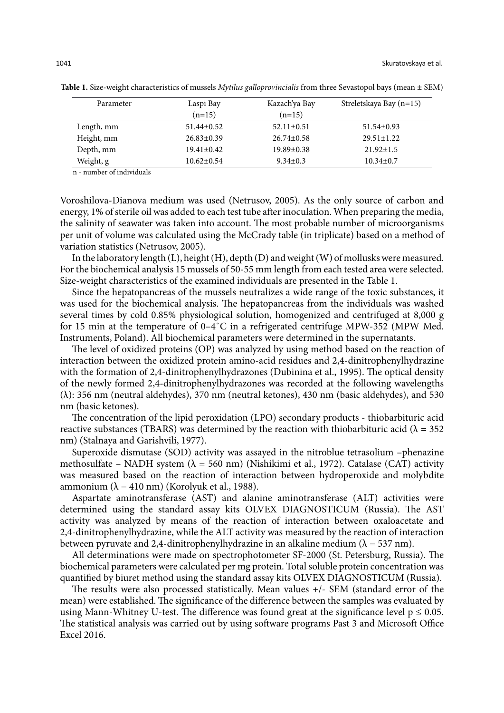| Parameter  | Laspi Bay        | Kazach'ya Bay    | Streletskaya Bay (n=15) |
|------------|------------------|------------------|-------------------------|
|            | $(n=15)$         | $(n=15)$         |                         |
| Length, mm | $51.44 \pm 0.52$ | $52.11 \pm 0.51$ | $51.54 \pm 0.93$        |
| Height, mm | $26.83 \pm 0.39$ | $26.74 \pm 0.58$ | $29.51 \pm 1.22$        |
| Depth, mm  | $19.41 \pm 0.42$ | $19.89 \pm 0.38$ | $21.92 \pm 1.5$         |
| Weight, g  | $10.62 \pm 0.54$ | $9.34 \pm 0.3$   | $10.34 \pm 0.7$         |

**Table 1.** Size-weight characteristics of mussels *Mytilus galloprovincialis* from three Sevastopol bays (mean ± SEM) **Table 1.** Size-weight characteristics of mussels *Mytilus galloprovincialis* from three Sevastopol bays (mean ± SEM)

n - number of individuals

Voroshilova-Dianova medium was used (Netrusov, 2005). As the only source of carbon and energy, 1% of sterile oil was added to each test tube after inoculation. When preparing the media, the salinity of seawater was taken into account. The most probable number of microorganisms per unit of volume was calculated using the McCrady table (in triplicate) based on a method of variation statistics (Netrusov, 2005).

In the laboratory length (L), height (H), depth (D) and weight (W) of mollusks were measured. For the biochemical analysis 15 mussels of 50-55 mm length from each tested area were selected. Size-weight characteristics of the examined individuals are presented in the Table 1.

Since the hepatopancreas of the mussels neutralizes a wide range of the toxic substances, it was used for the biochemical analysis. The hepatopancreas from the individuals was washed several times by cold 0.85% physiological solution, homogenized and centrifuged at 8,000 g for 15 min at the temperature of 0–4˚С in a refrigerated centrifuge MPW-352 (MPW Med. Instruments, Poland). All biochemical parameters were determined in the supernatants.

The level of oxidized proteins (OP) was analyzed by using method based on the reaction of interaction between the oxidized protein amino-acid residues and 2,4-dinitrophenylhydrazine with the formation of 2,4-dinitrophenylhydrazones (Dubinina et al., 1995). The optical density of the newly formed 2,4-dinitrophenylhydrazones was recorded at the following wavelengths (λ): 356 nm (neutral aldehydes), 370 nm (neutral ketones), 430 nm (basic aldehydes), and 530 nm (basic ketones).

The concentration of the lipid peroxidation (LPO) secondary products - thiobarbituric acid reactive substances (TBARS) was determined by the reaction with thiobarbituric acid ( $\lambda = 352$ nm) (Stalnaya and Garishvili, 1977).

Superoxide dismutase (SOD) activity was assayed in the nitroblue tetrasolium –phenazine methosulfate – NADH system ( $\lambda$  = 560 nm) (Nishikimi et al., 1972). Catalase (CAT) activity was measured based on the reaction of interaction between hydroperoxide and molybdite ammonium (λ = 410 nm) (Korolyuk et al., 1988).

Aspartate aminotransferase (AST) and alanine aminotransferase (ALT) activities were determined using the standard assay kits OLVEX DIAGNOSTICUM (Russia). The AST activity was analyzed by means of the reaction of interaction between oxaloacetate and 2,4-dinitrophenylhydrazine, while the ALT activity was measured by the reaction of interaction between pyruvate and 2,4-dinitrophenylhydrazine in an alkaline medium ( $\lambda$  = 537 nm).

All determinations were made on spectrophotometer SF-2000 (St. Petersburg, Russia). The biochemical parameters were calculated per mg protein. Total soluble protein concentration was quantified by biuret method using the standard assay kits OLVEX DIAGNOSTICUM (Russia).

The results were also processed statistically. Mean values +/- SEM (standard error of the mean) were established. The significance of the difference between the samples was evaluated by using Mann-Whitney U-test. The difference was found great at the significance level  $p \le 0.05$ . The statistical analysis was carried out by using software programs Past 3 and Microsoft Office Excel 2016.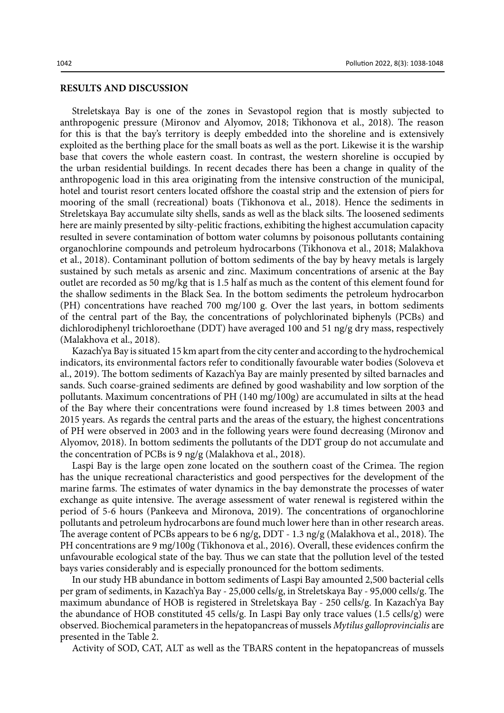#### **RESULTS AND DISCUSSION**

Streletskaya Bay is one of the zones in Sevastopol region that is mostly subjected to anthropogenic pressure (Mironov and Alyomov, 2018; Tikhonova et al., 2018). The reason for this is that the bay's territory is deeply embedded into the shoreline and is extensively exploited as the berthing place for the small boats as well as the port. Likewise it is the warship base that covers the whole eastern coast. In contrast, the western shoreline is occupied by the urban residential buildings. In recent decades there has been a change in quality of the anthropogenic load in this area originating from the intensive construction of the municipal, hotel and tourist resort centers located offshore the coastal strip and the extension of piers for mooring of the small (recreational) boats (Tikhonova et al., 2018). Hence the sediments in Streletskaya Bay accumulate silty shells, sands as well as the black silts. The loosened sediments here are mainly presented by silty-pelitic fractions, exhibiting the highest accumulation capacity resulted in severe contamination of bottom water columns by poisonous pollutants containing organochlorine compounds and petroleum hydrocarbons (Tikhonova et al., 2018; Malakhova et al., 2018). Contaminant pollution of bottom sediments of the bay by heavy metals is largely sustained by such metals as arsenic and zinc. Maximum concentrations of arsenic at the Bay outlet are recorded as 50 mg/kg that is 1.5 half as much as the content of this element found for the shallow sediments in the Black Sea. In the bottom sediments the petroleum hydrocarbon (PH) concentrations have reached 700 mg/100 g. Over the last years, in bottom sediments of the central part of the Bay, the concentrations of polychlorinated biphenyls (PCBs) and dichlorodiphenyl trichloroethane (DDT) have averaged 100 and 51 ng/g dry mass, respectively (Malakhova et al., 2018).

Kazach'ya Bay is situated 15 km apart from the city center and according to the hydrochemical indicators, its environmental factors refer to conditionally favourable water bodies (Soloveva et al., 2019). The bottom sediments of Kazach'ya Bay are mainly presented by silted barnacles and sands. Such coarse-grained sediments are defined by good washability and low sorption of the pollutants. Maximum concentrations of PH (140 mg/100g) are accumulated in silts at the head of the Bay where their concentrations were found increased by 1.8 times between 2003 and 2015 years. As regards the central parts and the areas of the estuary, the highest concentrations of PH were observed in 2003 and in the following years were found decreasing (Mironov and Alyomov, 2018). In bottom sediments the pollutants of the DDT group do not accumulate and the concentration of PCBs is 9 ng/g (Malakhova et al., 2018).

Laspi Bay is the large open zone located on the southern coast of the Crimea. The region has the unique recreational characteristics and good perspectives for the development of the marine farms. The estimates of water dynamics in the bay demonstrate the processes of water exchange as quite intensive. The average assessment of water renewal is registered within the period of 5-6 hours (Pankeeva and Mironova, 2019). The concentrations of organochlorine pollutants and petroleum hydrocarbons are found much lower here than in other research areas. The average content of PCBs appears to be 6 ng/g, DDT - 1.3 ng/g (Malakhova et al., 2018). The PH concentrations are 9 mg/100g (Tikhonova et al., 2016). Overall, these evidences confirm the unfavourable ecological state of the bay. Thus we can state that the pollution level of the tested bays varies considerably and is especially pronounced for the bottom sediments.

In our study HB abundance in bottom sediments of Laspi Bay amounted 2,500 bacterial cells per gram of sediments, in Kazach'ya Bay - 25,000 cells/g, in Streletskaya Bay - 95,000 cells/g. The maximum abundance of HOB is registered in Streletskaya Bay - 250 cells/g. In Kazach'ya Bay the abundance of HOB constituted 45 cells/g. In Laspi Bay only trace values (1.5 cells/g) were observed. Biochemical parameters in the hepatopancreas of mussels *Mytilus galloprovincialis* are presented in the Table 2.

Activity of SOD, CAT, ALT as well as the TBARS content in the hepatopancreas of mussels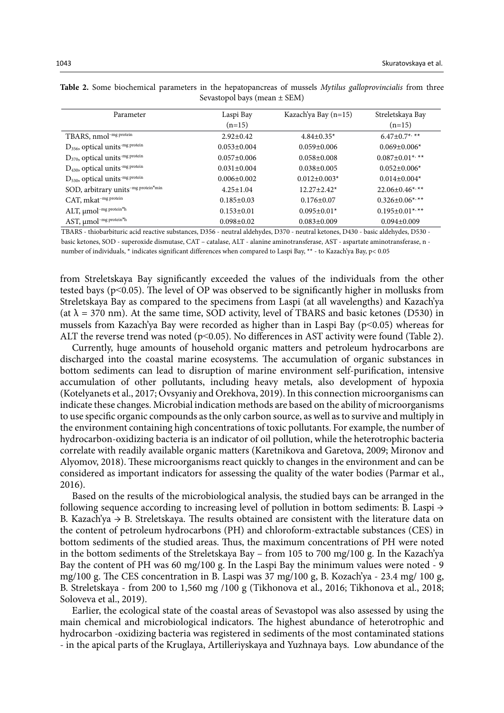| Parameter                                               | Laspi Bay         | Kazach'ya Bay (n=15) | Streletskaya Bay                 |
|---------------------------------------------------------|-------------------|----------------------|----------------------------------|
|                                                         | $(n=15)$          |                      | $(n=15)$                         |
| TBARS, nmol <sup>-mg protein</sup>                      | $2.92 \pm 0.42$   | $4.84 \pm 0.35^*$    | $6.47 \pm 0.7$ <sup>**</sup>     |
| D <sub>356</sub> , optical units <sup>-mg protein</sup> | $0.053 \pm 0.004$ | $0.059 \pm 0.006$    | $0.069 \pm 0.006*$               |
| D <sub>370</sub> , optical units <sup>-mg protein</sup> | $0.057 \pm 0.006$ | $0.058 \pm 0.008$    | $0.087 \pm 0.01$ *, **           |
| D <sub>430</sub> , optical units <sup>-mg protein</sup> | $0.031 \pm 0.004$ | $0.038 \pm 0.005$    | $0.052 \pm 0.006*$               |
| D <sub>530</sub> , optical units <sup>-mg protein</sup> | $0.006 \pm 0.002$ | $0.012 \pm 0.003*$   | $0.014 \pm 0.004*$               |
| SOD, arbitrary units <sup>-mg protein*min</sup>         | $4.25 \pm 1.04$   | $12.27 \pm 2.42^*$   | $22.06 \pm 0.46$ <sup>*,**</sup> |
| CAT, mkat-mg protein                                    | $0.185 \pm 0.03$  | $0.176 \pm 0.07$     | $0.326 \pm 0.06$ *,**            |
| ALT, $\mu$ mol <sup>-mg protein*h</sup>                 | $0.153 \pm 0.01$  | $0.095 \pm 0.01*$    | $0.195 \pm 0.01$ *,**            |
| AST, µmol <sup>-mg</sup> protein <sup>xh</sup>          | $0.098 \pm 0.02$  | $0.083 \pm 0.009$    | $0.094 \pm 0.009$                |

Table 2. Some biochemical parameters in the hepatopancreas of mussels Mytilus galloprovincialis from three Sevastopol bays (mean ± SEM) Sevastopol bays (mean ± SEM)

TBARS - thiobarbituric acid reactive substances, D356 - neutral aldehydes, D370 - neutral ketones, D430 - basic aldehydes, D530 basic ketones, SOD - superoxide dismutase, CAT – catalase, ALT - alanine aminotransferase, AST - aspartate aminotransferase, n number of individuals, \* indicates significant differences when compared to Laspi Bay, \*\* - to Kazach'ya Bay, p< 0.05

from Streletskaya Bay significantly exceeded the values of the individuals from the other tested bays (p˂0.05). The level of OP was observed to be significantly higher in mollusks from Streletskaya Bay as compared to the specimens from Laspi (at all wavelengths) and Kazach'ya (at  $\lambda$  = 370 nm). At the same time, SOD activity, level of TBARS and basic ketones (D530) in mussels from Kazach'ya Bay were recorded as higher than in Laspi Bay (p˂0.05) whereas for ALT the reverse trend was noted ( $p<0.05$ ). No differences in AST activity were found (Table 2).

Currently, huge amounts of household organic matters and petroleum hydrocarbons are discharged into the coastal marine ecosystems. The accumulation of organic substances in bottom sediments can lead to disruption of marine environment self-purification, intensive accumulation of other pollutants, including heavy metals, also development of hypoxia (Kotelyanets et al., 2017; Ovsyaniy and Orekhova, 2019). In this connection microorganisms can indicate these changes. Microbial indication methods are based on the ability of microorganisms to use specific organic compounds as the only carbon source, as well as to survive and multiply in the environment containing high concentrations of toxic pollutants. For example, the number of hydrocarbon-oxidizing bacteria is an indicator of oil pollution, while the heterotrophic bacteria correlate with readily available organic matters (Karetnikova and Garetova, 2009; Mironov and Alyomov, 2018). These microorganisms react quickly to changes in the environment and can be considered as important indicators for assessing the quality of the water bodies (Parmar et al., 2016).

Based on the results of the microbiological analysis, the studied bays can be arranged in the following sequence according to increasing level of pollution in bottom sediments: B. Laspi  $\rightarrow$ B. Kazach'ya  $\rightarrow$  B. Streletskaya. The results obtained are consistent with the literature data on the content of petroleum hydrocarbons (PH) and chloroform-extractable substances (CES) in bottom sediments of the studied areas. Thus, the maximum concentrations of PH were noted in the bottom sediments of the Streletskaya Bay – from 105 to 700 mg/100 g. In the Kazach'ya Bay the content of PH was 60 mg/100 g. In the Laspi Bay the minimum values were noted - 9 mg/100 g. The CES concentration in B. Laspi was 37 mg/100 g, B. Kozach'ya - 23.4 mg/ 100 g, B. Streletskaya - from 200 to 1,560 mg /100 g (Tikhonova et al., 2016; Tikhonova et al., 2018; Soloveva et al., 2019).

Earlier, the ecological state of the coastal areas of Sevastopol was also assessed by using the main chemical and microbiological indicators. The highest abundance of heterotrophic and hydrocarbon -oxidizing bacteria was registered in sediments of the most contaminated stations - in the apical parts of the Kruglaya, Artilleriyskaya and Yuzhnaya bays. Low abundance of the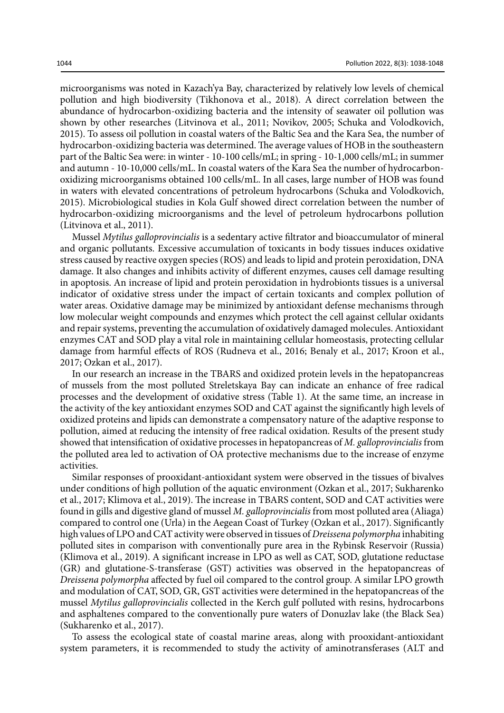microorganisms was noted in Kazach'ya Bay, characterized by relatively low levels of chemical pollution and high biodiversity (Tikhonova et al., 2018). A direct correlation between the abundance of hydrocarbon-oxidizing bacteria and the intensity of seawater oil pollution was shown by other researches (Litvinova et al., 2011; Novikov, 2005; Schuka and Volodkovich, 2015). To assess oil pollution in coastal waters of the Baltic Sea and the Kara Sea, the number of hydrocarbon-oxidizing bacteria was determined. The average values of HOB in the southeastern part of the Baltic Sea were: in winter - 10-100 cells/mL; in spring - 10-1,000 cells/mL; in summer and autumn - 10-10,000 cells/mL. In coastal waters of the Kara Sea the number of hydrocarbonoxidizing microorganisms obtained 100 cells/mL. In all cases, large number of HOB was found in waters with elevated concentrations of petroleum hydrocarbons (Schuka and Volodkovich, 2015). Microbiological studies in Kola Gulf showed direct correlation between the number of hydrocarbon-oxidizing microorganisms and the level of petroleum hydrocarbons pollution (Litvinova et al., 2011).

Mussel *Mytilus galloprovincialis* is a sedentary active filtrator and bioaccumulator of mineral and organic pollutants. Excessive accumulation of toxicants in body tissues induces oxidative stress caused by reactive oxygen species (ROS) and leads to lipid and protein peroxidation, DNA damage. It also changes and inhibits activity of different enzymes, causes cell damage resulting in apoptosis. An increase of lipid and protein peroxidation in hydrobionts tissues is a universal indicator of oxidative stress under the impact of certain toxicants and complex pollution of water areas. Oxidative damage may be minimized by antioxidant defense mechanisms through low molecular weight compounds and enzymes which protect the cell against cellular oxidants and repair systems, preventing the accumulation of oxidatively damaged molecules. Antioxidant enzymes CAT and SOD play a vital role in maintaining cellular homeostasis, protecting cellular damage from harmful effects of ROS (Rudneva et al., 2016; Benaly et al., 2017; Kroon et al., 2017; Ozkan et al., 2017).

In our research an increase in the TBARS and oxidized protein levels in the hepatopancreas of mussels from the most polluted Streletskaya Bay can indicate an enhance of free radical processes and the development of oxidative stress (Table 1). At the same time, an increase in the activity of the key antioxidant enzymes SOD and CAT against the significantly high levels of oxidized proteins and lipids can demonstrate a compensatory nature of the adaptive response to pollution, aimed at reducing the intensity of free radical oxidation. Results of the present study showed that intensification of oxidative processes in hepatopancreas of *M. galloprovincialis* from the polluted area led to activation of OA protective mechanisms due to the increase of enzyme activities.

Similar responses of prooxidant-antioxidant system were observed in the tissues of bivalves under conditions of high pollution of the aquatic environment (Ozkan et al., 2017; Sukharenko et al., 2017; Klimova et al., 2019). The increase in TBARS content, SOD and CAT activities were found in gills and digestive gland of mussel *M. galloprovincialis* from most polluted area (Aliaga) compared to control one (Urla) in the Aegean Coast of Turkey (Ozkan et al., 2017). Significantly high values of LPO and CAT activity were observed in tissues of *Dreissena polymorpha* inhabiting polluted sites in comparison with conventionally pure area in the Rybinsk Reservoir (Russia) (Klimova et al., 2019). A significant increase in LPO as well as CAT, SOD, glutatione reductase (GR) and glutatione-S-transferase (GST) activities was observed in the hepatopancreas of *Dreissena polymorpha* affected by fuel oil compared to the control group. A similar LPO growth and modulation of CAT, SOD, GR, GST activities were determined in the hepatopancreas of the mussel *Mytilus galloprovincialis* collected in the Kerch gulf polluted with resins, hydrocarbons and asphaltenes compared to the conventionally pure waters of Donuzlav lake (the Black Sea) (Sukharenko et al., 2017).

To assess the ecological state of coastal marine areas, along with prooxidant-antioxidant system parameters, it is recommended to study the activity of aminotransferases (ALT and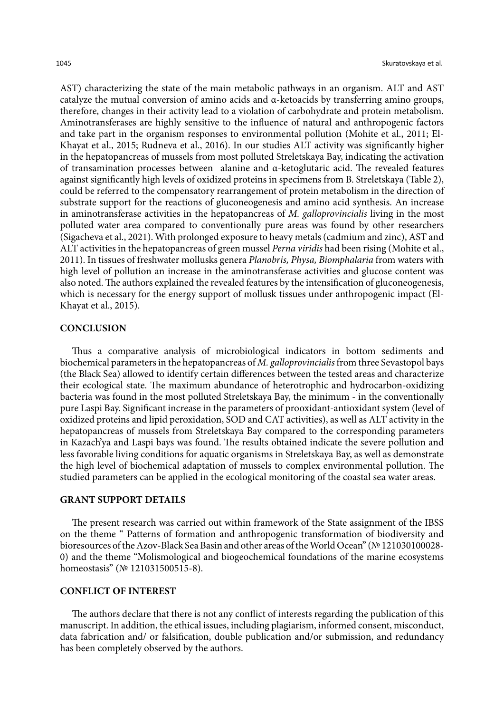AST) characterizing the state of the main metabolic pathways in an organism. ALT and AST catalyze the mutual conversion of amino acids and α-ketoacids by transferring amino groups, therefore, changes in their activity lead to a violation of carbohydrate and protein metabolism. Aminotransferases are highly sensitive to the influence of natural and anthropogenic factors and take part in the organism responses to environmental pollution (Mohite et al., 2011; El-Khayat et al., 2015; Rudneva et al., 2016). In our studies ALT activity was significantly higher in the hepatopancreas of mussels from most polluted Streletskaya Bay, indicating the activation of transamination processes between alanine and α-ketoglutaric acid. The revealed features against significantly high levels of oxidized proteins in specimens from B. Streletskaya (Table 2), could be referred to the compensatory rearrangement of protein metabolism in the direction of substrate support for the reactions of gluconeogenesis and amino acid synthesis. An increase in aminotransferase activities in the hepatopancreas of *M. galloprovincialis* living in the most polluted water area compared to conventionally pure areas was found by other researchers (Sigacheva et al., 2021). With prolonged exposure to heavy metals (cadmium and zinc), AST and ALT activities in the hepatopancreas of green mussel *Perna viridis* had been rising (Mohite et al., 2011). In tissues of freshwater mollusks genera *Planobris, Physa, Biomphalaria* from waters with high level of pollution an increase in the aminotransferase activities and glucose content was also noted. The authors explained the revealed features by the intensification of gluconeogenesis, which is necessary for the energy support of mollusk tissues under anthropogenic impact (El-Khayat et al., 2015).

#### **CONCLUSION**

Thus a comparative analysis of microbiological indicators in bottom sediments and biochemical parameters in the hepatopancreas of *M. galloprovincialis* from three Sevastopol bays (the Black Sea) allowed to identify certain differences between the tested areas and characterize their ecological state. The maximum abundance of heterotrophic and hydrocarbon-oxidizing bacteria was found in the most polluted Streletskaya Bay, the minimum - in the conventionally pure Laspi Bay. Significant increase in the parameters of prooxidant-antioxidant system (level of oxidized proteins and lipid peroxidation, SOD and CAT activities), as well as ALT activity in the hepatopancreas of mussels from Streletskaya Bay compared to the corresponding parameters in Kazach'ya and Laspi bays was found. The results obtained indicate the severe pollution and less favorable living conditions for aquatic organisms in Streletskaya Bay, as well as demonstrate the high level of biochemical adaptation of mussels to complex environmental pollution. The studied parameters can be applied in the ecological monitoring of the coastal sea water areas.

#### **GRANT SUPPORT DETAILS**

The present research was carried out within framework of the State assignment of the IBSS on the theme " Patterns of formation and anthropogenic transformation of biodiversity and bioresources of the Azov-Black Sea Basin and other areas of the World Ocean" (№ 121030100028- 0) and the theme "Molismological and biogeochemical foundations of the marine ecosystems homeostasis" (№ 121031500515-8).

#### **CONFLICT OF INTEREST**

The authors declare that there is not any conflict of interests regarding the publication of this manuscript. In addition, the ethical issues, including plagiarism, informed consent, misconduct, data fabrication and/ or falsification, double publication and/or submission, and redundancy has been completely observed by the authors.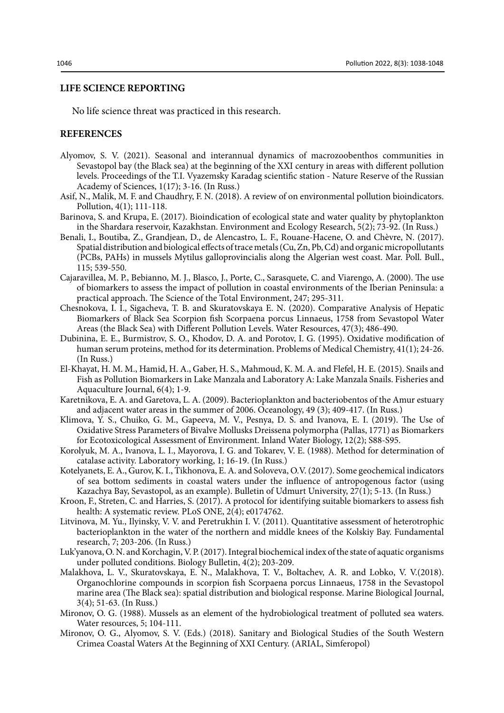#### **LIFE SCIENCE REPORTING**

No life science threat was practiced in this research.

## **REFERENCES**

- Alyomov, S. V. (2021). Seasonal and interannual dynamics of macrozoobenthos communities in Sevastopol bay (the Black sea) at the beginning of the XXI century in areas with different pollution levels. Proceedings of the T.I. Vyazemsky Karadag scientific station - Nature Reserve of the Russian Academy of Sciences, 1(17); 3-16. (In Russ.)
- Asif, N., Malik, M. F. and Chaudhry, F. N. (2018). A review of on environmental pollution bioindicators. Pollution, 4(1); 111-118.
- Barinova, S. and Krupa, E. (2017). Bioindication of ecological state and water quality by phytoplankton in the Shardara reservoir, Kazakhstan. Environment and Ecology Research, 5(2); 73-92. (In Russ.)
- Benali, I., Boutiba, Z., Grandjean, D., de Alencastro, L. F., Rouane-Hacene, O. and Chèvre, N. (2017). Spatial distribution and biological effects of trace metals (Cu, Zn, Pb, Cd) and organic micropollutants (PCBs, PAHs) in mussels Mytilus galloprovincialis along the Algerian west coast. Mar. Poll. Bull., 115; 539-550.
- Cajaravillea, M. P., Bebianno, M. J., Blasco, J., Porte, C., Sarasquete, C. and Viarengo, A. (2000). The use of biomarkers to assess the impact of pollution in coastal environments of the Iberian Peninsula: a practical approach. The Science of the Total Environment, 247; 295-311.
- Chesnokova, I. I., Sigacheva, T. B. and Skuratovskaya E. N. (2020). Comparative Analysis of Hepatic Biomarkers of Black Sea Scorpion fish Scorpaena porcus Linnaeus, 1758 from Sevastopol Water Areas (the Black Sea) with Different Pollution Levels. Water Resources, 47(3); 486-490.
- Dubinina, E. E., Burmistrov, S. O., Khodov, D. A. and Porotov, I. G. (1995). Oxidative modification of human serum proteins, method for its determination. Problems of Medical Chemistry, 41(1); 24-26. (In Russ.)
- El-Khayat, H. M. M., Hamid, H. A., Gaber, H. S., Mahmoud, K. M. A. and Flefel, H. E. (2015). Snails and Fish as Pollution Biomarkers in Lake Manzala and Laboratory A: Lake Manzala Snails. Fisheries and Aquaculture Journal, 6(4); 1-9.
- Karetnikova, E. A. and Garetova, L. A. (2009). Bacterioplankton and bacteriobentos of the Amur estuary and adjacent water areas in the summer of 2006. Oceanology, 49 (3); 409-417. (In Russ.)
- Klimova, Y. S., Chuiko, G. M., Gapeeva, M. V., Pesnya, D. S. and Ivanova, E. I. (2019). The Use of Oxidative Stress Parameters of Bivalve Mollusks Dreissena polymorpha (Pallas, 1771) as Biomarkers for Ecotoxicological Assessment of Environment. Inland Water Biology, 12(2); S88-S95.
- Korolyuk, M. A., Ivanova, L. I., Mayorova, I. G. and Tokarev, V. E. (1988). Method for determination of catalase activity. Laboratory working, 1; 16-19. (In Russ.)
- Kotelyanets, E. A., Gurov, K. I., Tikhonova, E. A. and Soloveva, O.V. (2017). Some geochemical indicators of sea bottom sediments in coastal waters under the influence of antropogenous factor (using Kazachya Bay, Sevastopol, as an example). Bulletin of Udmurt University, 27(1); 5-13. (In Russ.)
- Kroon, F., Streten, C. and Harries, S. (2017). A protocol for identifying suitable biomarkers to assess fish health: A systematic review. PLoS ONE, 2(4); e0174762.
- Litvinova, M. Yu., Ilyinsky, V. V. and Peretrukhin I. V. (2011). Quantitative assessment of heterotrophic bacterioplankton in the water of the northern and middle knees of the Kolskiy Bay. Fundamental research, 7; 203-206. (In Russ.)
- Luk'yanova, O. N. and Korchagin, V. P. (2017). Integral biochemical index of the state of aquatic organisms under polluted conditions. Biology Bulletin, 4(2); 203-209.
- Malakhova, L. V., Skuratovskaya, E. N., Malakhova, T. V., Boltachev, A. R. and Lobkо, V. V.(2018). Organochlorine compounds in scorpion fish Scorpaena porcus Linnaeus, 1758 in the Sevastopol marine area (The Black sea): spatial distribution and biological response. Marine Biological Journal, 3(4); 51-63. (In Russ.)
- Mironov, O. G. (1988). Mussels as an element of the hydrobiological treatment of polluted sea waters. Water resources, 5; 104-111.
- Mironov, O. G., Alyomov, S. V. (Eds.) (2018). Sanitary and Biological Studies of the South Western Crimea Coastal Waters At the Beginning of XXI Century. (ARIAL, Simferopol)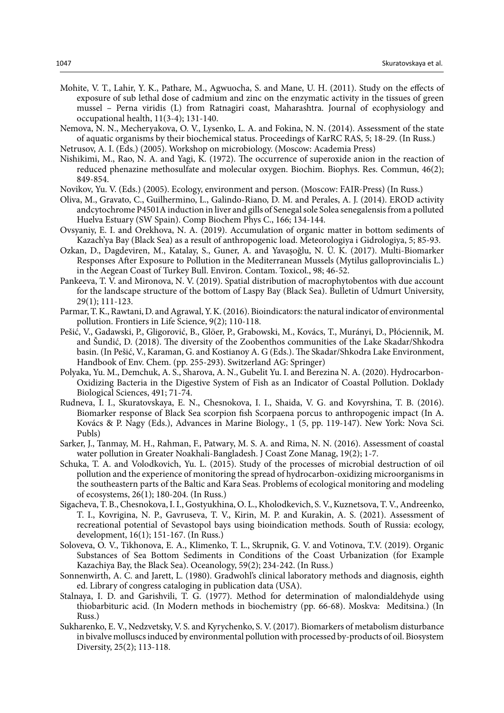- Mohite, V. T., Lahir, Y. K., Pathare, M., Agwuocha, S. and Mane, U. H. (2011). Study on the effects of exposure of sub lethal dose of cadmium and zinc on the enzymatic activity in the tissues of green mussel – Perna viridis (L) from Ratnagiri coast, Maharashtra. Journal of ecophysiology and occupational health, 11(3-4); 131-140.
- Nemova, N. N., Mecheryakova, O. V., Lysenko, L. A. and Fokina, N. N. (2014). Assessment of the state of aquatic organisms by their biochemical status. Proceedings of KarRC RAS, 5; 18-29. (In Russ.)

Netrusov, A. I. (Eds.) (2005). Workshop on microbiology. (Moscow: Academia Press)

- Nishikimi, M., Rao, N. A. and Yagi, K. (1972). The occurrence of superoxide anion in the reaction of reduced phenazine methosulfate and molecular oxygen. Biochim. Biophys. Res. Commun, 46(2); 849-854.
- Novikov, Yu. V. (Eds.) (2005). Ecology, environment and person. (Moscow: FAIR-Press) (In Russ.)
- Oliva, M., Gravato, C., Guilhermino, L., Galindo-Riano, D. M. and Perales, A. J. (2014). EROD activity andcytochrome P4501A induction in liver and gills of Senegal sole Solea senegalensis from a polluted Huelva Estuary (SW Spain). Comp Biochem Phys C., 166; 134-144.
- Ovsyaniy, E. I. and Orekhova, N. A. (2019). Accumulation of organic matter in bottom sediments of Kazach'ya Bay (Black Sea) as a result of anthropogenic load. Meteorologiya i Gidrologiya, 5; 85-93.
- Ozkan, D., Dagdeviren, M., Katalay, S., Guner, A. and Yavaşoğlu, N. Ü. K. (2017). Multi-Biomarker Responses After Exposure to Pollution in the Mediterranean Mussels (Mytilus galloprovincialis L.) in the Aegean Coast of Turkey Bull. Environ. Contam. Toxicol., 98; 46-52.
- Pankeeva, T. V. and Mironova, N. V. (2019). Spatial distribution of macrophytobentos with due account for the landscape structure of the bottom of Laspy Bay (Black Sea). Bulletin of Udmurt University, 29(1); 111-123.
- Parmar, T. K., Rawtani, D. and Agrawal, Y. K. (2016). Bioindicators: the natural indicator of environmental pollution. Frontiers in Life Science, 9(2); 110-118.
- Pešić, V., Gadawski, P., Gligorović, B., Glöer, P., Grabowski, M., Kovács, T., Murányi, D., Płóciennik, M. and Šundić, D. (2018). The diversity of the Zoobenthos communities of the Lake Skadar/Shkodra basin. (In Pešić, V., Karaman, G. and Kostianoy A. G (Eds.). The Skadar/Shkodra Lake Environment, Handbook of Env. Chem. (pp. 255-293). Switzerland AG: Springer)
- Polyaka, Yu. M., Demchuk, A. S., Sharova, A. N., Gubelit Yu. I. and Berezina N. A. (2020). Hydrocarbon-Oxidizing Bacteria in the Digestive System of Fish as an Indicator of Coastal Pollution. Doklady Biological Sciences, 491; 71-74.
- Rudneva, I. I., Skuratovskaya, E. N., Chesnokova, I. I., Shaida, V. G. and Kovyrshina, T. B. (2016). Biomarker response of Black Sea scorpion fish Scorpaena porcus to anthropogenic impact (In A. Kovács & P. Nagy (Eds.), Advances in Marine Biology., 1 (5, pp. 119-147). New York: Nova Sci. Publs)
- Sarker, J., Tanmay, M. H., Rahman, F., Patwary, M. S. A. and Rima, N. N. (2016). Assessment of coastal water pollution in Greater Noakhali-Bangladesh. J Coast Zone Manag, 19(2); 1-7.
- Schuka, T. A. and Volodkovich, Yu. L. (2015). Study of the processes of microbial destruction of oil pollution and the experience of monitoring the spread of hydrocarbon-oxidizing microorganisms in the southeastern parts of the Baltic and Kara Seas. Problems of ecological monitoring and modeling of ecosystems, 26(1); 180-204. (In Russ.)
- Sigacheva, Т. В., Chesnokova, I. I., Gostyukhina, О. L., Kholodkevich, S. V., Kuznetsova, Т. V., Andreenko, Т. I., Kovrigina, N. P., Gavruseva, T. V., Kirin, M. P. and Kurakin, A. S. (2021). Assessment of recreational potential of Sevastopol bays using bioindication methods. South of Russia: ecology, development, 16(1); 151-167. (In Russ.)
- Soloveva, O. V., Tikhonova, E. A., Klimenko, T. L., Skrupnik, G. V. and Votinova, T.V. (2019). Organic Substances of Sea Bottom Sediments in Conditions of the Coast Urbanization (for Example Kazachiya Bay, the Black Sea). Oceanology, 59(2); 234-242. (In Russ.)
- Sonnenwirth, A. C. and Jarett, L. (1980). Gradwohl's clinical laboratory methods and diagnosis, eighth ed. Library of congress cataloging in publication data (USA).
- Stalnaya, I. D. and Garishvili, T. G. (1977). Method for determination of malondialdehyde using thiobarbituric acid. (In Modern methods in biochemistry (pp. 66-68). Moskva: Meditsina.) (In Russ.)
- Sukharenko, E. V., Nedzvetsky, V. S. and Kyrychenko, S. V. (2017). Biomarkers of metabolism disturbance in bivalve molluscs induced by environmental pollution with processed by-products of oil. Biosystem Diversity, 25(2); 113-118.